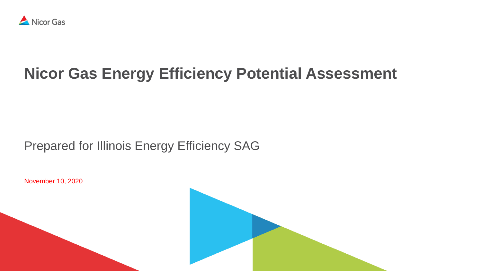

## **Nicor Gas Energy Efficiency Potential Assessment**

### Prepared for Illinois Energy Efficiency SAG

November 10, 2020

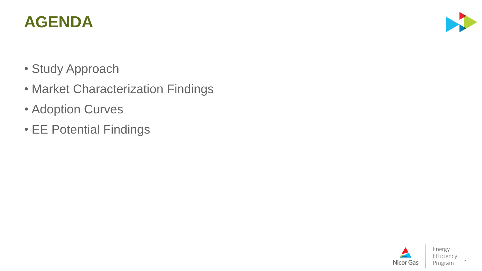## **AGENDA**

- Study Approach
- Market Characterization Findings
- Adoption Curves
- EE Potential Findings

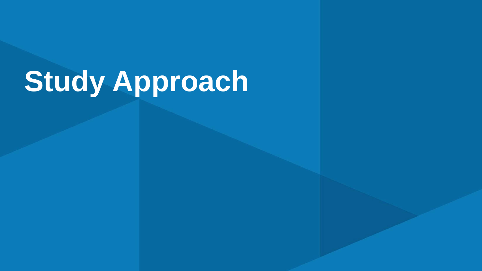# **Study Approach**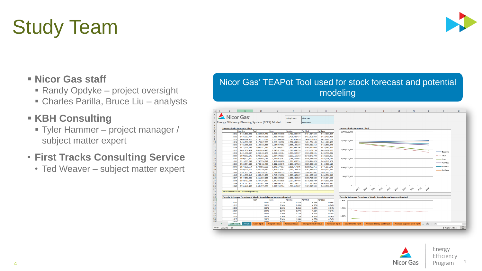# Study Team

### ▪ **Nicor Gas staff**

- Randy Opdyke project oversight
- Charles Parilla, Bruce Liu analysts

### ▪ **KBH Consulting**

▪ Tyler Hammer – project manager / subject matter expert

### • **First Tracks Consulting Service**

• Ted Weaver – subject matter expert

#### Nicor Gas' TEAPot Tool used for stock forecast and potential modeling





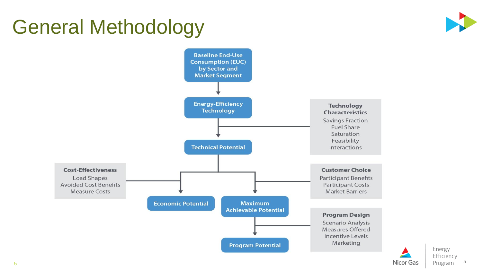## General Methodology





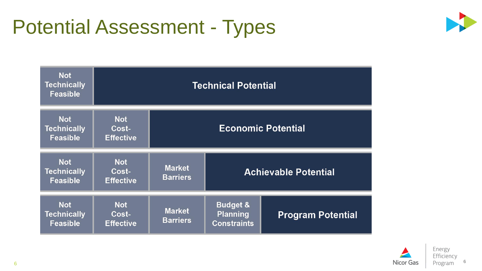## Potential Assessment - Types



| <b>Not</b><br>Technically<br><b>Feasible</b>        | <b>Technical Potential</b>              |                                  |                                                              |                          |  |
|-----------------------------------------------------|-----------------------------------------|----------------------------------|--------------------------------------------------------------|--------------------------|--|
| <b>Not</b><br><b>Technically</b><br><b>Feasible</b> | <b>Not</b><br>Cost-<br><b>Effective</b> | <b>Economic Potential</b>        |                                                              |                          |  |
| <b>Not</b><br>Technically<br><b>Feasible</b>        | <b>Not</b><br>Cost-<br><b>Effective</b> | <b>Market</b><br><b>Barriers</b> | <b>Achievable Potential</b>                                  |                          |  |
| <b>Not</b><br><b>Technically</b><br><b>Feasible</b> | <b>Not</b><br>Cost-<br><b>Effective</b> | <b>Market</b><br><b>Barriers</b> | <b>Budget &amp;</b><br><b>Planning</b><br><b>Constraints</b> | <b>Program Potential</b> |  |



6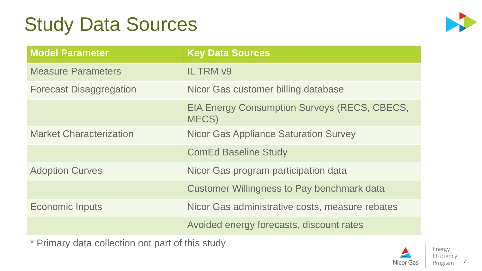## Study Data Sources



| <b>Model Parameter</b>         | <b>Key Data Sources</b>                                      |
|--------------------------------|--------------------------------------------------------------|
| <b>Measure Parameters</b>      | <b>IL TRM v9</b>                                             |
| <b>Forecast Disaggregation</b> | Nicor Gas customer billing database                          |
|                                | <b>EIA Energy Consumption Surveys (RECS, CBECS,</b><br>MECS) |
| <b>Market Characterization</b> | <b>Nicor Gas Appliance Saturation Survey</b>                 |
|                                | <b>ComEd Baseline Study</b>                                  |
| <b>Adoption Curves</b>         | Nicor Gas program participation data                         |
|                                | <b>Customer Willingness to Pay benchmark data</b>            |
| <b>Economic Inputs</b>         | Nicor Gas administrative costs, measure rebates              |
|                                | Avoided energy forecasts, discount rates                     |

\* Primary data collection not part of this study

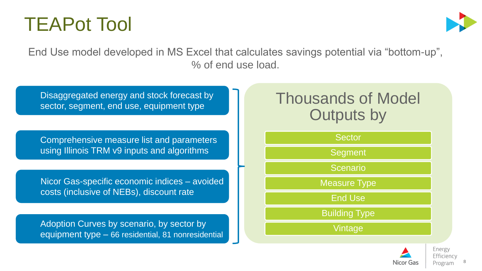



End Use model developed in MS Excel that calculates savings potential via "bottom-up", % of end use load.

Disaggregated energy and stock forecast by sector, segment, end use, equipment type

Comprehensive measure list and parameters using Illinois TRM v9 inputs and algorithms

Nicor Gas-specific economic indices – avoided costs (inclusive of NEBs), discount rate

Adoption Curves by scenario, by sector by equipment type – 66 residential, 81 nonresidential

## Thousands of Model Outputs by



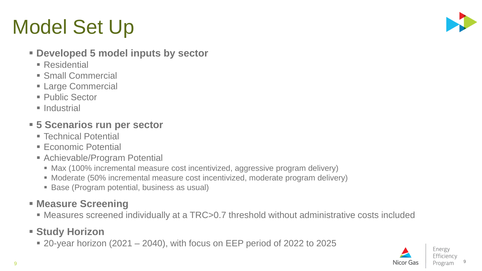## Model Set Up



#### ▪ **Developed 5 model inputs by sector**

- $\blacksquare$  Residential
- **E** Small Commercial
- **Example Commercial**
- Public Sector
- **Industrial**

### ▪ **5 Scenarios run per sector**

- Technical Potential
- Economic Potential
- **E** Achievable/Program Potential
	- Max (100% incremental measure cost incentivized, aggressive program delivery)
	- Moderate (50% incremental measure cost incentivized, moderate program delivery)
	- Base (Program potential, business as usual)

### ▪ **Measure Screening**

■ Measures screened individually at a TRC>0.7 threshold without administrative costs included

### ▪ **Study Horizon**

 $\bullet$  20-year horizon (2021 – 2040), with focus on EEP period of 2022 to 2025

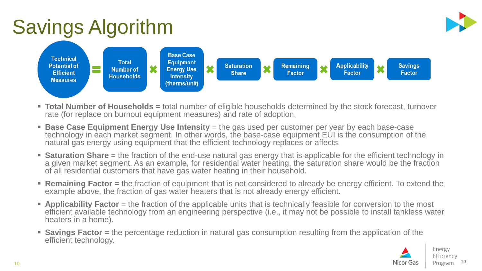## Savings Algorithm



- **Total Number of Households** = total number of eligible households determined by the stock forecast, turnover rate (for replace on burnout equipment measures) and rate of adoption.
- **Base Case Equipment Energy Use Intensity** = the gas used per customer per year by each base-case technology in each market segment. In other words, the base-case equipment EUI is the consumption of the natural gas energy using equipment that the efficient technology replaces or affects.
- **EXATURER 10 Share** = the fraction of the end-use natural gas energy that is applicable for the efficient technology in a given market segment. As an example, for residential water heating, the saturation share would be the fraction of all residential customers that have gas water heating in their household.
- **Remaining Factor** = the fraction of equipment that is not considered to already be energy efficient. To extend the example above, the fraction of gas water heaters that is not already energy efficient.
- **EXPLICADILITY Factor** = the fraction of the applicable units that is technically feasible for conversion to the most efficient available technology from an engineering perspective (i.e., it may not be possible to install tankless water heaters in a home).
- **Exavings Factor** = the percentage reduction in natural gas consumption resulting from the application of the efficient technology.

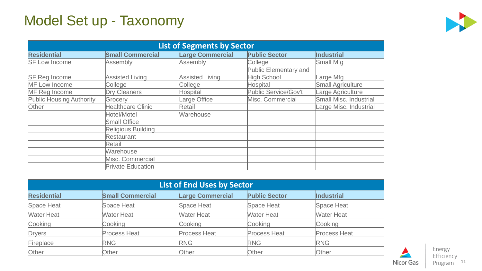## Model Set up - Taxonomy



| <b>List of Segments by Sector</b> |                           |                         |                       |                          |  |
|-----------------------------------|---------------------------|-------------------------|-----------------------|--------------------------|--|
| <b>Residential</b>                | <b>Small Commercial</b>   | <b>Large Commercial</b> | <b>Public Sector</b>  | <b>Industrial</b>        |  |
| <b>SF Low Income</b>              | Assembly                  | Assembly                | College               | <b>Small Mfg</b>         |  |
|                                   |                           |                         | Public Elementary and |                          |  |
| <b>SF Reg Income</b>              | <b>Assisted Living</b>    | <b>Assisted Living</b>  | High School           | arge Mfg                 |  |
| <b>MF Low Income</b>              | College                   | College                 | Hospital              | <b>Small Agriculture</b> |  |
| MF Reg Income                     | <b>Dry Cleaners</b>       | Hospital                | Public Service/Gov't  | Large Agriculture        |  |
| <b>Public Housing Authority</b>   | Grocery                   | _arge Office            | Misc. Commercial      | Small Misc. Industrial   |  |
| Other                             | <b>Healthcare Clinic</b>  | Retail                  |                       | arge Misc. Industrial    |  |
|                                   | Hotel/Motel               | Warehouse               |                       |                          |  |
|                                   | <b>Small Office</b>       |                         |                       |                          |  |
|                                   | <b>Religious Building</b> |                         |                       |                          |  |
|                                   | <b>Restaurant</b>         |                         |                       |                          |  |
|                                   | Retail                    |                         |                       |                          |  |
|                                   | Warehouse                 |                         |                       |                          |  |
|                                   | Misc. Commercial          |                         |                       |                          |  |
|                                   | <b>Private Education</b>  |                         |                       |                          |  |

| <b>List of End Uses by Sector</b> |                         |                         |                      |                     |  |
|-----------------------------------|-------------------------|-------------------------|----------------------|---------------------|--|
| <b>Residential</b>                | <b>Small Commercial</b> | <b>Large Commercial</b> | <b>Public Sector</b> | <b>Industrial</b>   |  |
| Space Heat                        | <b>Space Heat</b>       | <b>Space Heat</b>       | <b>Space Heat</b>    | <b>Space Heat</b>   |  |
| <b>Water Heat</b>                 | <b>Water Heat</b>       | <b>Water Heat</b>       | <b>Water Heat</b>    | <b>Water Heat</b>   |  |
| Cooking                           | Cooking                 | Cooking                 | Cooking              | Cooking             |  |
| Dryers                            | <b>Process Heat</b>     | <b>Process Heat</b>     | <b>Process Heat</b>  | <b>Process Heat</b> |  |
| Fireplace                         | <b>RNG</b>              | <b>RNG</b>              | <b>RNG</b>           | <b>RNG</b>          |  |
| Other                             | Other                   | <b>Other</b>            | Other                | Other               |  |

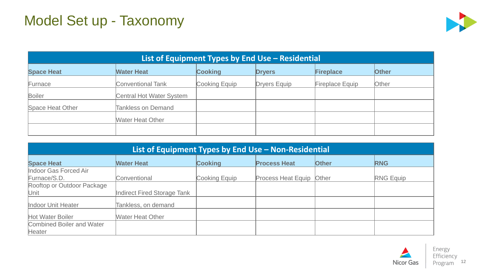## Model Set up - Taxonomy



| List of Equipment Types by End Use - Residential |                                 |                |                     |                        |              |  |
|--------------------------------------------------|---------------------------------|----------------|---------------------|------------------------|--------------|--|
| <b>Space Heat</b>                                | <b>Water Heat</b>               | <b>Cooking</b> | <b>Dryers</b>       | Fireplace              | <b>Other</b> |  |
| Furnace                                          | <b>Conventional Tank</b>        | Cooking Equip  | <b>Dryers Equip</b> | <b>Fireplace Equip</b> | Other        |  |
| <b>Boiler</b>                                    | <b>Central Hot Water System</b> |                |                     |                        |              |  |
| Space Heat Other                                 | <b>Tankless on Demand</b>       |                |                     |                        |              |  |
|                                                  | <b>Water Heat Other</b>         |                |                     |                        |              |  |
|                                                  |                                 |                |                     |                        |              |  |

| List of Equipment Types by End Use - Non-Residential |                             |                |                           |              |                  |  |
|------------------------------------------------------|-----------------------------|----------------|---------------------------|--------------|------------------|--|
| <b>Space Heat</b>                                    | <b>Water Heat</b>           | <b>Cooking</b> | <b>Process Heat</b>       | <b>Other</b> | <b>RNG</b>       |  |
| Indoor Gas Forced Air                                |                             |                |                           |              |                  |  |
| Furnace/S.D.                                         | Conventional                | Cooking Equip  | <b>Process Heat Equip</b> | Other        | <b>RNG Equip</b> |  |
| Rooftop or Outdoor Package                           |                             |                |                           |              |                  |  |
| Unit                                                 | Indirect Fired Storage Tank |                |                           |              |                  |  |
| Indoor Unit Heater                                   | Tankless, on demand         |                |                           |              |                  |  |
| Hot Water Boiler                                     | <b>Water Heat Other</b>     |                |                           |              |                  |  |
| <b>Combined Boiler and Water</b>                     |                             |                |                           |              |                  |  |
| Heater                                               |                             |                |                           |              |                  |  |

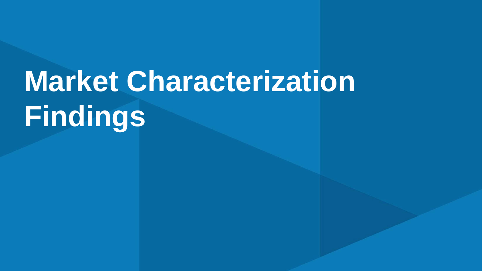# **Market Characterization Findings**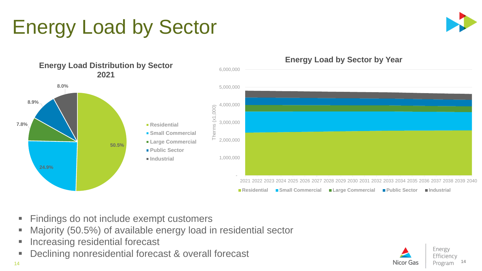## Energy Load by Sector





- Findings do not include exempt customers
- Majority (50.5%) of available energy load in residential sector
- Increasing residential forecast
- Declining nonresidential forecast & overall forecast

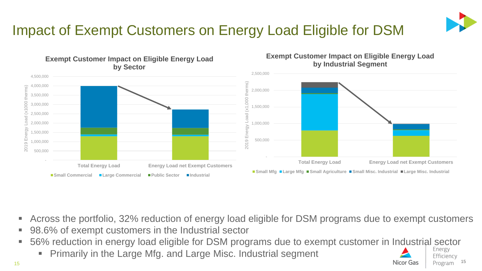

## Impact of Exempt Customers on Energy Load Eligible for DSM



**Exempt Customer Impact on Eligible Energy Load by Industrial Segment**

- Across the portfolio, 32% reduction of energy load eligible for DSM programs due to exempt customers
- 98.6% of exempt customers in the Industrial sector

**Exempt Customer Impact on Eligible Energy Load** 

- 56% reduction in energy load eligible for DSM programs due to exempt customer in Industrial sector
	- Primarily in the Large Mfg. and Large Misc. Industrial segment

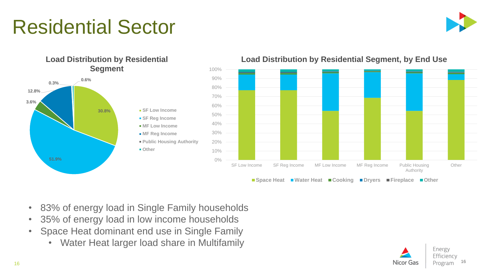## Residential Sector





#### **Load Distribution by Residential Segment, by End Use**

- 83% of energy load in Single Family households
- 35% of energy load in low income households
- Space Heat dominant end use in Single Family
	- Water Heat larger load share in Multifamily

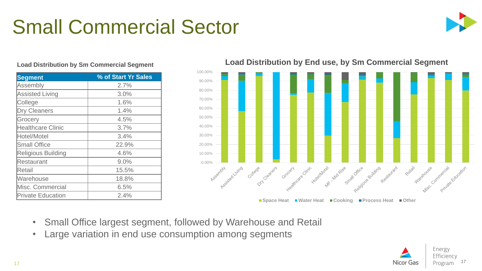## Small Commercial Sector

**Segment % of Start Yr Sales**

Assembly 2.7% Assisted Living and 13.0% College 1.6% Dry Cleaners 1.4% Grocery 4.5% Healthcare Clinic **1992** 1 3.7% Hotel/Motel 3.4% Small Office 22.9% Religious Building 1.6% Restaurant 1 9.0% Retail 15.5% Marehouse 18.8% Misc. Commercial 6.5%

Private Education 1 2.4%



#### 100.00% 90.00% 80.00% 70.00% 60.00% 50.00% 40.00% 30.00% 20.00% 10.00% n collage of the Collage Dry Oesners street crocery working the street wide street office suicing ■ Space Heat ■ Water Heat ■ Cooking ■ Process Heat ■ Other

#### **Load Distribution by End use, by Sm Commercial Segment Load Distribution by Sm Commercial Segment**

- Small Office largest segment, followed by Warehouse and Retail
- Large variation in end use consumption among segments

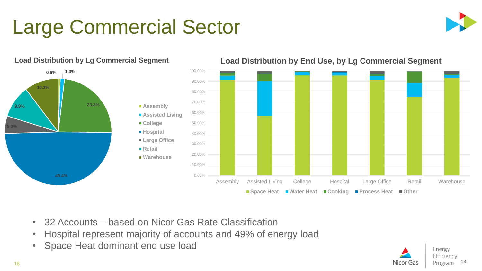## Large Commercial Sector





#### **Load Distribution by Lg Commercial Segment**

**Load Distribution by End Use, by Lg Commercial Segment**



- 32 Accounts based on Nicor Gas Rate Classification
- Hospital represent majority of accounts and 49% of energy load
- Space Heat dominant end use load

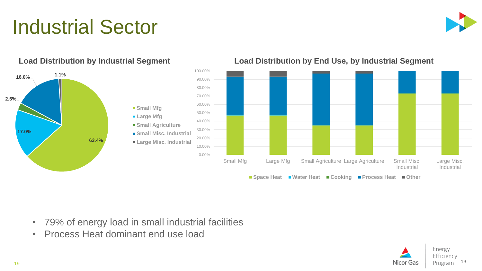## Industrial Sector





**Load Distribution by End Use, by Industrial Segment**

#### **Load Distribution by Industrial Segment**

- 79% of energy load in small industrial facilities
- Process Heat dominant end use load

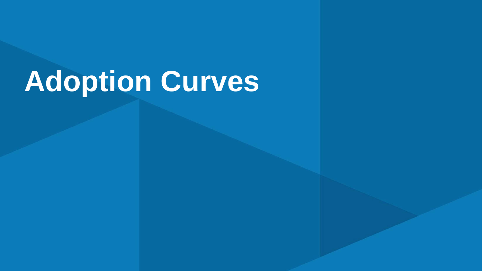# **Adoption Curves**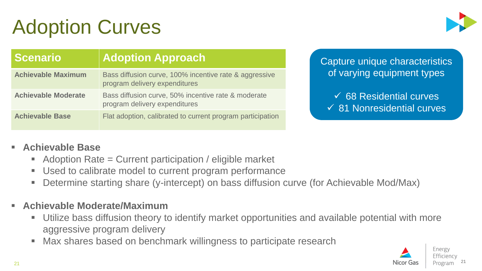## Adoption Curves



| <b>Scenario</b>            | <b>Adoption Approach</b>                                                                |
|----------------------------|-----------------------------------------------------------------------------------------|
| <b>Achievable Maximum</b>  | Bass diffusion curve, 100% incentive rate & aggressive<br>program delivery expenditures |
| <b>Achievable Moderate</b> | Bass diffusion curve, 50% incentive rate & moderate<br>program delivery expenditures    |
| <b>Achievable Base</b>     | Flat adoption, calibrated to current program participation                              |

Capture unique characteristics of varying equipment types

✓ 68 Residential curves ✓ 81 Nonresidential curves

#### **Achievable Base**

- Adoption Rate  $=$  Current participation / eligible market
- Used to calibrate model to current program performance
- Determine starting share (y-intercept) on bass diffusion curve (for Achievable Mod/Max)
- **Achievable Moderate/Maximum** 
	- Utilize bass diffusion theory to identify market opportunities and available potential with more aggressive program delivery
	- Max shares based on benchmark willingness to participate research



21

21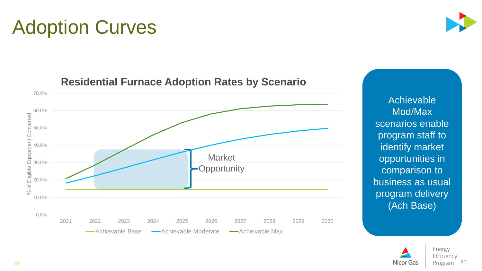Achievable Mod/Max scenarios enable program staff to identify market opportunities in comparison to business as usual program delivery (Ach Base)

**Nicor Gas** 





#### **Residential Furnace Adoption Rates by Scenario**

## Adoption Curves

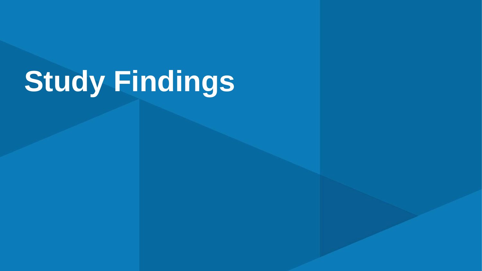# **Study Findings**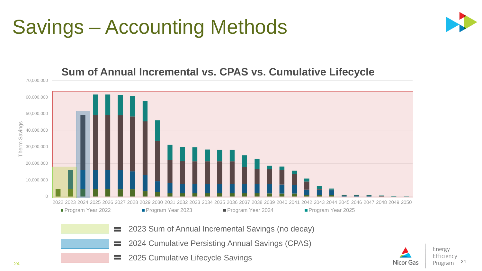## Savings – Accounting Methods





#### **Sum of Annual Incremental vs. CPAS vs. Cumulative Lifecycle**

- 2023 Sum of Annual Incremental Savings (no decay)  $=$
- 2024 Cumulative Persisting Annual Savings (CPAS) =
- 2025 Cumulative Lifecycle Savings $\equiv$

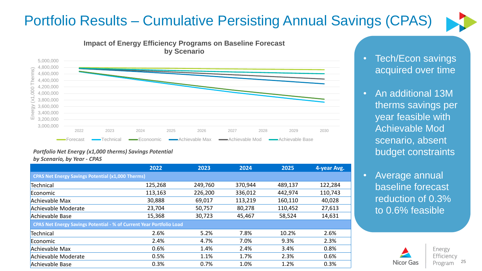## Portfolio Results – Cumulative Persisting Annual Savings (CPAS)







#### *Portfolio Net Energy (x1,000 therms) Savings Potential by Scenario, by Year - CPAS*

|                                                                      | 2022    | 2023    | 2024    | 2025    | 4-year Avg. |
|----------------------------------------------------------------------|---------|---------|---------|---------|-------------|
| <b>CPAS Net Energy Savings Potential (x1,000 Therms)</b>             |         |         |         |         |             |
| Technical                                                            | 125,268 | 249,760 | 370,944 | 489,137 | 122,284     |
| Economic                                                             | 113,163 | 226,200 | 336,012 | 442,974 | 110,743     |
| Achievable Max                                                       | 30,888  | 69,017  | 113,219 | 160,110 | 40,028      |
| Achievable Moderate                                                  | 23,704  | 50,757  | 80,278  | 110,452 | 27,613      |
| Achievable Base                                                      | 15,368  | 30,723  | 45,467  | 58,524  | 14,631      |
| CPAS Net Energy Savings Potential - % of Current Year Portfolio Load |         |         |         |         |             |
| Technical                                                            | 2.6%    | 5.2%    | 7.8%    | 10.2%   | 2.6%        |
| Economic                                                             | 2.4%    | 4.7%    | 7.0%    | 9.3%    | 2.3%        |
| Achievable Max                                                       | 0.6%    | 1.4%    | 2.4%    | 3.4%    | 0.8%        |
| Achievable Moderate                                                  | 0.5%    | 1.1%    | 1.7%    | 2.3%    | 0.6%        |
| Achievable Base                                                      | 0.3%    | 0.7%    | 1.0%    | 1.2%    | 0.3%        |

• Tech/Econ savings acquired over time

- An additional 13M therms savings per year feasible with Achievable Mod scenario, absent budget constraints
- Average annual baseline forecast reduction of 0.3% to 0.6% feasible



Energy Efficiency 25 Program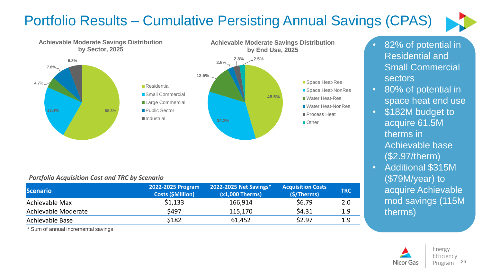## Portfolio Results – Cumulative Persisting Annual Savings (CPAS)





#### *Portfolio Acquisition Cost and TRC by Scenario*

| <b>Scenario</b>     | 2022-2025 Program<br><b>Costs (\$Million)</b> | 2022-2025 Net Savings*<br>$(x1,000)$ Therms) | <b>Acquisition Costs</b><br>(\$/Therms) | <b>TRC</b> |
|---------------------|-----------------------------------------------|----------------------------------------------|-----------------------------------------|------------|
| Achievable Max      | \$1,133                                       | 166,914                                      | \$6.79                                  | 2.0        |
| Achievable Moderate | \$497                                         | 115,170                                      | \$4.31                                  | 1.9        |
| Achievable Base     | \$182                                         | 61,452                                       | \$2.97                                  | 1.9        |

\* Sum of annual incremental savings

#### • 82% of potential in Residential and Small Commercial sectors

- 80% of potential in space heat end use
- \$182M budget to acquire 61.5M therms in Achievable base (\$2.97/therm)
- Additional \$315M (\$79M/year) to acquire Achievable mod savings (115M therms)

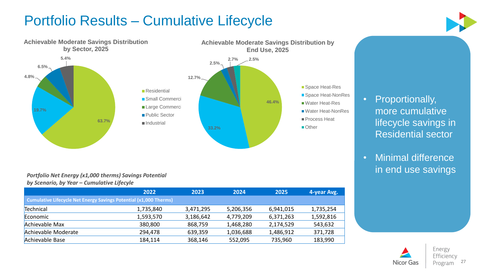## Portfolio Results – Cumulative Lifecycle



#### **46.4% 2.7% 2.5% Achievable Moderate Savings Distribution by End Use, 2025** ■ Space Heat-Res ■ Space Heat-NonRes Water Heat-Res ■Water Heat-NonRes Process Heat ■Other

#### • Proportionally, more cumulative lifecycle savings in Residential sector

• Minimal difference in end use savings

#### *Portfolio Net Energy (x1,000 therms) Savings Potential by Scenario, by Year – Cumulative Lifecyle*

|                                                                          | 2022      | 2023      | 2024      | 2025      | 4-year Avg. |
|--------------------------------------------------------------------------|-----------|-----------|-----------|-----------|-------------|
| <b>Cumulative Lifecycle Net Energy Savings Potential (x1,000 Therms)</b> |           |           |           |           |             |
| Technical                                                                | 1,735,840 | 3,471,295 | 5,206,356 | 6,941,015 | 1,735,254   |
| Economic                                                                 | 1,593,570 | 3,186,642 | 4,779,209 | 6,371,263 | 1,592,816   |
| Achievable Max                                                           | 380,800   | 868,759   | 1,468,280 | 2,174,529 | 543,632     |
| Achievable Moderate                                                      | 294,478   | 639,359   | 1,036,688 | 1,486,912 | 371,728     |
| Achievable Base                                                          | 184,114   | 368,146   | 552,095   | 735,960   | 183,990     |

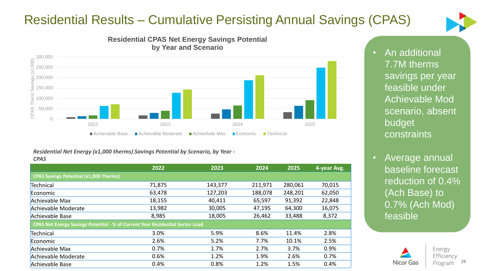### Residential Results – Cumulative Persisting Annual Savings (CPAS)







#### *Residential Net Energy (x1,000 therms) Savings Potential by Scenario, by Year - CPAS*

|                                                                               | 2022   | 2023    | 2024    | 2025    | 4-year Avg. |
|-------------------------------------------------------------------------------|--------|---------|---------|---------|-------------|
| <b>CPAS Savings Potential (x1,000 Therms)</b>                                 |        |         |         |         |             |
| Technical                                                                     | 71,875 | 143,377 | 211,971 | 280,061 | 70,015      |
| Economic                                                                      | 63,478 | 127,203 | 188,078 | 248,201 | 62,050      |
| Achievable Max                                                                | 18,155 | 40,411  | 65,597  | 91,392  | 22,848      |
| Achievable Moderate                                                           | 13,982 | 30,005  | 47,195  | 64,300  | 16,075      |
| Achievable Base                                                               | 8,985  | 18,005  | 26,462  | 33,488  | 8,372       |
| CPAS Net Energy Savings Potential - % of Current Year Residential Sector Load |        |         |         |         |             |
| Technical                                                                     | 3.0%   | 5.9%    | 8.6%    | 11.4%   | 2.8%        |
| Economic                                                                      | 2.6%   | 5.2%    | 7.7%    | 10.1%   | 2.5%        |
| Achievable Max                                                                | 0.7%   | 1.7%    | 2.7%    | 3.7%    | 0.9%        |
| Achievable Moderate                                                           | 0.6%   | 1.2%    | 1.9%    | 2.6%    | 0.7%        |
| Achievable Base                                                               | 0.4%   | 0.8%    | 1.2%    | 1.5%    | 0.4%        |

• An additional 7.7M therms savings per year feasible under Achievable Mod scenario, absent budget constraints

• Average annual baseline forecast reduction of 0.4% (Ach Base) to 0.7% (Ach Mod) feasible

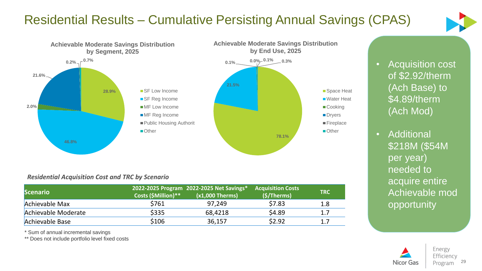### Residential Results – Cumulative Persisting Annual Savings (CPAS)





#### *Residential Acquisition Cost and TRC by Scenario*

| <b>Scenario</b>     | Costs (\$Million)** | 2022-2025 Program 2022-2025 Net Savings*1<br>$(x1,000$ Therms) | <b>Acquisition Costs</b><br>(S/Therms) | <b>TRC</b> |
|---------------------|---------------------|----------------------------------------------------------------|----------------------------------------|------------|
| Achievable Max      | \$761               | 97,249                                                         | \$7.83                                 | 1.8        |
| Achievable Moderate | \$335               | 68,4218                                                        | \$4.89                                 | 1.7        |
| Achievable Base     | \$106               | 36,157                                                         | \$2.92                                 | 1.7        |

\* Sum of annual incremental savings

\*\* Does not include portfolio level fixed costs

• **Acquisition cost** of \$2.92/therm (Ach Base) to \$4.89/therm (Ach Mod)

• Additional \$218M (\$54M per year) needed to acquire entire Achievable mod opportunity

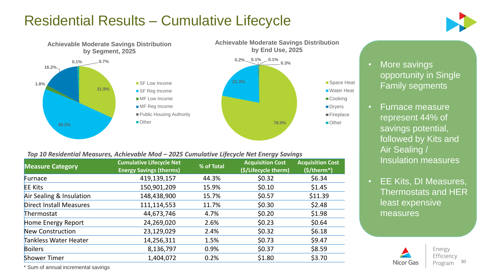## Residential Results – Cumulative Lifecycle





#### *Top 10 Residential Measures, Achievable Mod – 2025 Cumulative Lifecycle Net Energy Savings*

| <b>Measure Category</b>        | <b>Cumulative Lifecycle Net</b><br><b>Energy Savings (therms)</b> | % of Total | <b>Acquisition Cost</b><br>(\$/Lifecycle therm) | <b>Acquisition Cost</b><br>$(S/therm*)$ |
|--------------------------------|-------------------------------------------------------------------|------------|-------------------------------------------------|-----------------------------------------|
| Furnace                        | 419,139,157                                                       | 44.3%      | \$0.32                                          | \$6.34                                  |
| <b>EE Kits</b>                 | 150,901,209                                                       | 15.9%      | \$0.10                                          | \$1.45                                  |
| Air Sealing & Insulation       | 148,438,900                                                       | 15.7%      | \$0.57                                          | \$11.39                                 |
| <b>Direct Install Measures</b> | 111,114,553                                                       | 11.7%      | \$0.30                                          | \$2.48                                  |
| Thermostat                     | 44,673,746                                                        | 4.7%       | \$0.20                                          | \$1.98                                  |
| Home Energy Report             | 24,269,020                                                        | 2.6%       | \$0.23                                          | \$0.64                                  |
| New Construction               | 23,129,029                                                        | 2.4%       | \$0.32                                          | \$6.18                                  |
| Tankless Water Heater          | 14,256,311                                                        | 1.5%       | \$0.73                                          | \$9.47                                  |
| <b>Boilers</b>                 | 8,136,797                                                         | 0.9%       | \$0.37                                          | \$8.59                                  |
| <b>Shower Timer</b>            | 1,404,072                                                         | 0.2%       | \$1.80                                          | \$3.70                                  |

• More savings opportunity in Single Family segments

- Furnace measure represent 44% of savings potential, followed by Kits and Air Sealing / Insulation measures
- EE Kits, DI Measures, Thermostats and HER least expensive measures



Energy Efficiency Program 30

\* Sum of annual incremental savings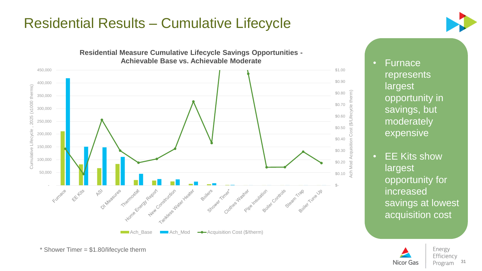### Residential Results – Cumulative Lifecycle





• Furnace represents largest opportunity in savings, but moderately expensive

• EE Kits show largest opportunity for increased savings at lowest acquisition cost



\* Shower Timer = \$1.80/lifecycle therm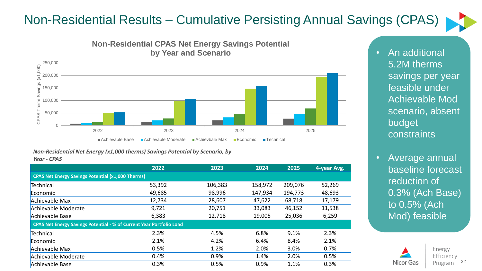### Non-Residential Results – Cumulative Persisting Annual Savings (CPAS)





#### **Non-Residential CPAS Net Energy Savings Potential by Year and Scenario**

*Non-Residential Net Energy (x1,000 therms) Savings Potential by Scenario, by Year - CPAS*

|                                                                             | 2022   | 2023    | 2024    | 2025    | 4-year Avg. |
|-----------------------------------------------------------------------------|--------|---------|---------|---------|-------------|
| <b>CPAS Net Energy Savings Potential (x1,000 Therms)</b>                    |        |         |         |         |             |
| Technical                                                                   | 53,392 | 106,383 | 158,972 | 209,076 | 52,269      |
| Economic                                                                    | 49,685 | 98,996  | 147,934 | 194,773 | 48,693      |
| Achievable Max                                                              | 12,734 | 28,607  | 47,622  | 68,718  | 17,179      |
| Achievable Moderate                                                         | 9,721  | 20,751  | 33,083  | 46,152  | 11,538      |
| Achievable Base                                                             | 6,383  | 12,718  | 19,005  | 25,036  | 6,259       |
| <b>CPAS Net Energy Savings Potential - % of Current Year Portfolio Load</b> |        |         |         |         |             |
| Technical                                                                   | 2.3%   | 4.5%    | 6.8%    | 9.1%    | 2.3%        |
| Economic                                                                    | 2.1%   | 4.2%    | 6.4%    | 8.4%    | 2.1%        |
| Achievable Max                                                              | 0.5%   | 1.2%    | 2.0%    | 3.0%    | 0.7%        |
| Achievable Moderate                                                         | 0.4%   | 0.9%    | 1.4%    | 2.0%    | 0.5%        |
| Achievable Base                                                             | 0.3%   | 0.5%    | 0.9%    | 1.1%    | 0.3%        |

• An additional 5.2M therms savings per year feasible under Achievable Mod scenario, absent budget constraints

• Average annual baseline forecast reduction of 0.3% (Ach Base) to 0.5% (Ach Mod) feasible

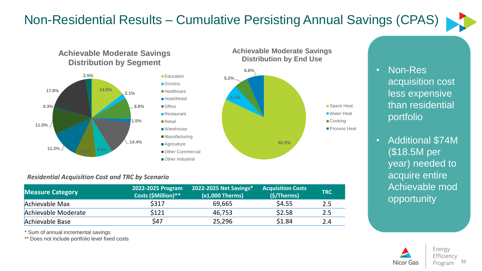### Non-Residential Results – Cumulative Persisting Annual Savings (CPAS)





#### *Residential Acquisition Cost and TRC by Scenario*

| <b>Measure Category</b> | 2022-2025 Program<br>Costs (\$Million)** | 2022-2025 Net Savings*<br>$(x1,000)$ Therms) | <b>Acquisition Costs</b><br>(S/Therms) | <b>TRC</b> |
|-------------------------|------------------------------------------|----------------------------------------------|----------------------------------------|------------|
| Achievable Max          | \$317                                    | 69,665                                       | \$4.55                                 | 2.5        |
| Achievable Moderate     | \$121                                    | 46,753                                       | \$2.58                                 | 2.5        |
| Achievable Base         | \$47                                     | 25,296                                       | \$1.84                                 | 2.4        |

\* Sum of annual incremental savings

\*\* Does not include portfolio level fixed costs

#### • Non-Res acquisition cost less expensive than residential portfolio

• Additional \$74M (\$18.5M per year) needed to acquire entire Achievable mod opportunity

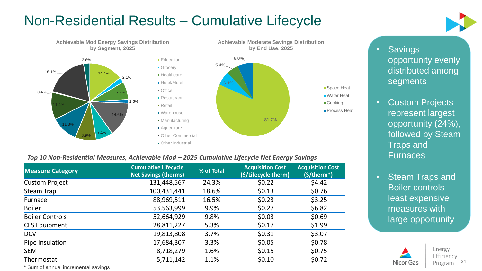## Non-Residential Results – Cumulative Lifecycle



#### *Top 10 Non-Residential Measures, Achievable Mod – 2025 Cumulative Lifecycle Net Energy Savings*

| <b>Measure Category</b> | <b>Cumulative Lifecycle</b><br><b>Net Savings (therms)</b> | % of Total | <b>Acquisition Cost</b><br>(\$/Lifecycle therm) | <b>Acquisition Cost</b><br>$(S/therm*)$ |
|-------------------------|------------------------------------------------------------|------------|-------------------------------------------------|-----------------------------------------|
| <b>Custom Project</b>   | 131,448,567                                                | 24.3%      | \$0.22                                          | \$4.42                                  |
| <b>Steam Trap</b>       | 100,431,441                                                | 18.6%      | \$0.13                                          | \$0.76                                  |
| Furnace                 | 88,969,511                                                 | 16.5%      | \$0.23                                          | \$3.25                                  |
| <b>Boiler</b>           | 53,563,999                                                 | 9.9%       | \$0.27                                          | \$6.82                                  |
| <b>Boiler Controls</b>  | 52,664,929                                                 | 9.8%       | \$0.03                                          | \$0.69                                  |
| <b>CFS Equipment</b>    | 28,811,227                                                 | 5.3%       | \$0.17                                          | \$1.99                                  |
| <b>DCV</b>              | 19,813,808                                                 | 3.7%       | \$0.31                                          | \$3.07                                  |
| Pipe Insulation         | 17,684,307                                                 | 3.3%       | \$0.05                                          | \$0.78                                  |
| <b>SEM</b>              | 8,718,279                                                  | 1.6%       | \$0.15                                          | \$0.75                                  |
| Thermostat              | 5,711,142                                                  | 1.1%       | \$0.10                                          | \$0.72                                  |

• Savings opportunity evenly distributed among segments

- Custom Projects represent largest opportunity (24%), followed by Steam Traps and **Furnaces**
- Steam Traps and Boiler controls least expensive measures with large opportunity



Energy Efficiency Program 34

\* Sum of annual incremental savings